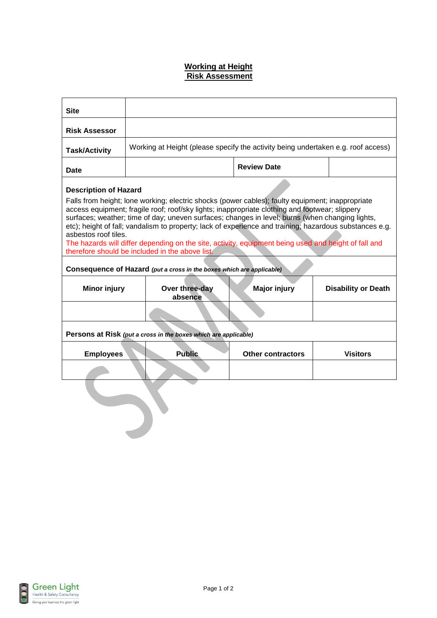## **Working at Height Risk Assessment**

| <b>Site</b>                                                                                                                                                                                                                                                                                                                                                                                                                                                                                                                                                                                                                         |                                                                                   |                          |                            |  |
|-------------------------------------------------------------------------------------------------------------------------------------------------------------------------------------------------------------------------------------------------------------------------------------------------------------------------------------------------------------------------------------------------------------------------------------------------------------------------------------------------------------------------------------------------------------------------------------------------------------------------------------|-----------------------------------------------------------------------------------|--------------------------|----------------------------|--|
| <b>Risk Assessor</b>                                                                                                                                                                                                                                                                                                                                                                                                                                                                                                                                                                                                                |                                                                                   |                          |                            |  |
| <b>Task/Activity</b>                                                                                                                                                                                                                                                                                                                                                                                                                                                                                                                                                                                                                | Working at Height (please specify the activity being undertaken e.g. roof access) |                          |                            |  |
| Date                                                                                                                                                                                                                                                                                                                                                                                                                                                                                                                                                                                                                                |                                                                                   | <b>Review Date</b>       |                            |  |
| <b>Description of Hazard</b><br>Falls from height; lone working; electric shocks (power cables); faulty equipment; inappropriate<br>access equipment; fragile roof; roof/sky lights; inappropriate clothing and footwear; slippery<br>surfaces; weather; time of day; uneven surfaces; changes in level; burns (when changing lights,<br>etc); height of fall; vandalism to property; lack of experience and training; hazardous substances e.g.<br>asbestos roof tiles.<br>The hazards will differ depending on the site, activity, equipment being used and height of fall and<br>therefore should be included in the above list. |                                                                                   |                          |                            |  |
| Consequence of Hazard (put a cross in the boxes which are applicable)                                                                                                                                                                                                                                                                                                                                                                                                                                                                                                                                                               |                                                                                   |                          |                            |  |
| <b>Minor injury</b>                                                                                                                                                                                                                                                                                                                                                                                                                                                                                                                                                                                                                 | Over three-day<br>absence                                                         | <b>Major injury</b>      | <b>Disability or Death</b> |  |
|                                                                                                                                                                                                                                                                                                                                                                                                                                                                                                                                                                                                                                     |                                                                                   |                          |                            |  |
| Persons at Risk (put a cross in the boxes which are applicable)                                                                                                                                                                                                                                                                                                                                                                                                                                                                                                                                                                     |                                                                                   |                          |                            |  |
| <b>Employees</b>                                                                                                                                                                                                                                                                                                                                                                                                                                                                                                                                                                                                                    | <b>Public</b>                                                                     | <b>Other contractors</b> | <b>Visitors</b>            |  |
|                                                                                                                                                                                                                                                                                                                                                                                                                                                                                                                                                                                                                                     |                                                                                   |                          |                            |  |
|                                                                                                                                                                                                                                                                                                                                                                                                                                                                                                                                                                                                                                     |                                                                                   |                          |                            |  |